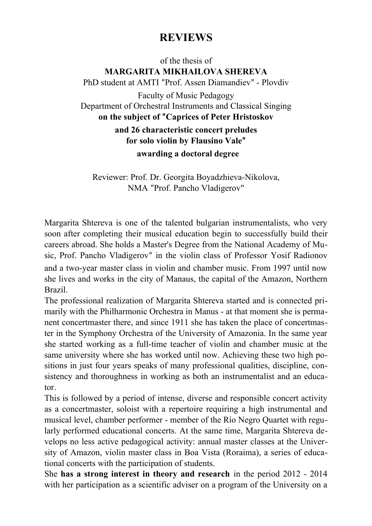## **REVIEWS**

of the thesis of **MARGARITA MIKHAILOVA SHEREVA** PhD student at AMTI "Prof. Assen Diamandiev" - Plovdiv Faculty of Music Pedagogy Department of Orchestral Instruments and Classical Singing **on the subject of "Caprices of Peter Hristoskov and 26 characteristic concert preludes for solo violin by Flausino Vale" awarding a doctoral degree**

Reviewer: Prof. Dr. Georgita Boyadzhieva-Nikolova, NMA "Prof. Pancho Vladigerov"

Margarita Shtereva is one of the talented bulgarian instrumentalists, who very soon after completing their musical education begin to successfully build their careers abroad. She holds a Master's Degree from the National Academy of Music, Prof. Pancho Vladigerov" in the violin class of Professor Yosif Radionov and a two-year master class in violin and chamber music. From 1997 until now she lives and works in the city of Manaus, the capital of the Amazon, Northern Brazil.

The professional realization of Margarita Shtereva started and is connected primarily with the Philharmonic Orchestra in Manus - at that moment she is permanent concertmaster there, and since 1911 she has taken the place of concertmaster in the Symphony Orchestra of the University of Amazonia. In the same year she started working as a full-time teacher of violin and chamber music at the same university where she has worked until now. Achieving these two high positions in just four years speaks of many professional qualities, discipline, consistency and thoroughness in working as both an instrumentalist and an educator.

This is followed by a period of intense, diverse and responsible concert activity as a concertmaster, soloist with a repertoire requiring a high instrumental and musical level, chamber performer - member of the Rio Negro Quartet with regularly performed educational concerts. At the same time, Margarita Shtereva develops no less active pedagogical activity: annual master classes at the University of Amazon, violin master class in Boa Vista (Roraima), a series of educational concerts with the participation of students.

She **has a strong interest in theory and research** in the period 2012 - 2014 with her participation as a scientific adviser on a program of the University on a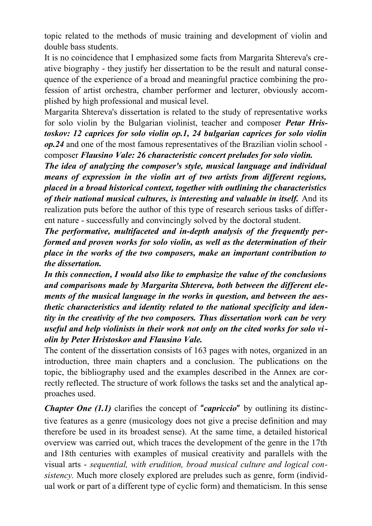topic related to the methods of music training and development of violin and double bass students.

It is no coincidence that I emphasized some facts from Margarita Shtereva's creative biography - they justify her dissertation to be the result and natural consequence of the experience of a broad and meaningful practice combining the profession of artist orchestra, chamber performer and lecturer, obviously accomplished by high professional and musical level.

Margarita Shtereva's dissertation is related to the study of representative works for solo violin by the Bulgarian violinist, teacher and composer *Petar Hristoskov: 12 caprices for solo violin op.1, 24 bulgarian caprices for solo violin op.24* and one of the most famous representatives of the Brazilian violin school composer *Flausino Vale: 26 characteristic concert preludes for solo violin.*

*The idea of analyzing the composer's style, musical language and individual means of expression in the violin art of two artists from different regions, placed in a broad historical context, together with outlining the characteristics of their national musical cultures, is interesting and valuable in itself.* And its realization puts before the author of this type of research serious tasks of different nature - successfully and convincingly solved by the doctoral student.

*The performative, multifaceted and in-depth analysis of the frequently performed and proven works for solo violin, as well as the determination of their place in the works of the two composers, make an important contribution to the dissertation.*

*In this connection, I would also like to emphasize the value of the conclusions and comparisons made by Margarita Shtereva, both between the different elements of the musical language in the works in question, and between the aesthetic characteristics and identity related to the national specificity and identity in the creativity of the two composers. Thus dissertation work can be very useful and help violinists in their work not only on the cited works for solo violin by Peter Hristoskov and Flausino Vale.*

The content of the dissertation consists of 163 pages with notes, organized in an introduction, three main chapters and a conclusion. The publications on the topic, the bibliography used and the examples described in the Annex are correctly reflected. The structure of work follows the tasks set and the analytical approaches used.

*Chapter One (1.1)* clarifies the concept of "*capriccio*" by outlining its distinctive features as a genre (musicology does not give a precise definition and may therefore be used in its broadest sense). At the same time, a detailed historical overview was carried out, which traces the development of the genre in the 17th and 18th centuries with examples of musical creativity and parallels with the visual arts - *sequential, with erudition, broad musical culture and logical consistency.* Much more closely explored are preludes such as genre, form (individual work or part of a different type of cyclic form) and thematicism. In this sense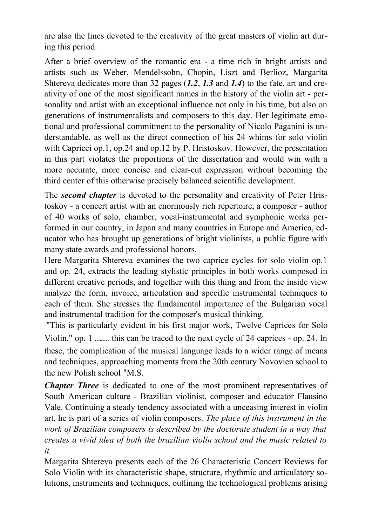are also the lines devoted to the creativity of the great masters of violin art during this period.

After a brief overview of the romantic era - a time rich in bright artists and artists such as Weber, Mendelssohn, Chopin, Liszt and Berlioz, Margarita Shtereva dedicates more than 32 pages (*1.2*, *1.3* and *1.4*) to the fate, art and creativity of one of the most significant names in the history of the violin art - personality and artist with an exceptional influence not only in his time, but also on generations of instrumentalists and composers to this day. Her legitimate emotional and professional commitment to the personality of Nicolo Paganini is understandable, as well as the direct connection of his 24 whims for solo violin with Capricci op.1, op.24 and op.12 by P. Hristoskov. However, the presentation in this part violates the proportions of the dissertation and would win with a more accurate, more concise and clear-cut expression without becoming the third center of this otherwise precisely balanced scientific development.

The *second chapter* is devoted to the personality and creativity of Peter Hristoskov - a concert artist with an enormously rich repertoire, a composer - author of 40 works of solo, chamber, vocal-instrumental and symphonic works performed in our country, in Japan and many countries in Europe and America, educator who has brought up generations of bright violinists, a public figure with many state awards and professional honors.

Here Margarita Shtereva examines the two caprice cycles for solo violin op.1 and op. 24, extracts the leading stylistic principles in both works composed in different creative periods, and together with this thing and from the inside view analyze the form, invoice, articulation and specific instrumental techniques to each of them. She stresses the fundamental importance of the Bulgarian vocal and instrumental tradition for the composer's musical thinking.

"This is particularly evident in his first major work, Twelve Caprices for Solo Violin," op. 1 ……. this can be traced to the next cycle of 24 caprices - op. 24. In these, the complication of the musical language leads to a wider range of means and techniques, approaching moments from the 20th century Novovien school to the new Polish school "M.S.

*Chapter Three* is dedicated to one of the most prominent representatives of South American culture - Brazilian violinist, composer and educator Flausino Vale. Continuing a steady tendency associated with a unceasing interest in violin art, he is part of a series of violin composers. *The place of this instrument in the work of Brazilian composers is described by the doctorate student in a way that creates a vivid idea of both the brazilian violin school and the music related to it.*

Margarita Shtereva presents each of the 26 Characteristic Concert Reviews for Solo Violin with its characteristic shape, structure, rhythmic and articulatory solutions, instruments and techniques, outlining the technological problems arising